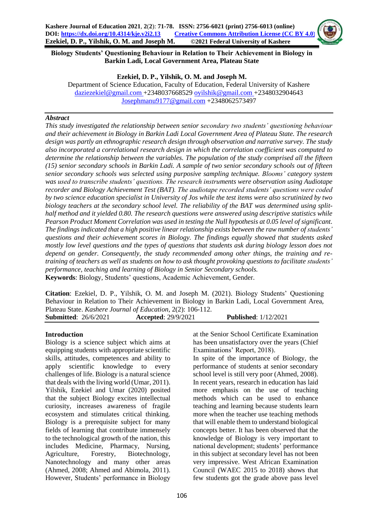

**Biology Students' Questioning Behaviour in Relation to Their Achievement in Biology in Barkin Ladi, Local Government Area, Plateau State**

#### **Ezekiel, D. P., Yilshik, O. M. and Joseph M.**

Department of Science Education, Faculty of Education, Federal University of Kashere [daziezekiel@gmail.com](mailto:daziezekiel@gmail.com) +2348037668529 [oyilshik@gmail.com](mailto:oyilshik@gmail.com) +2348032904643 [Josephmanu9177@gmail.com](mailto:Josephmanu9177@gmail.com) +2348062573497

## *Abstract*

*This study investigated the relationship between senior secondary two students' questioning behaviour and their achievement in Biology in Barkin Ladi Local Government Area of Plateau State. The research design was partly an ethnographic research design through observation and narrative survey. The study also incorporated a correlational research design in which the correlation coefficient was computed to determine the relationship between the variables. The population of the study comprised all the fifteen (15) senior secondary schools in Barkin Ladi. A sample of two senior secondary schools out of fifteen senior secondary schools was selected using purposive sampling technique. Blooms' category system was used to transcribe students' questions. The research instruments were observation using Audiotape recorder and Biology Achievement Test (BAT). The audiotape recorded students' questions were coded by two science education specialist in University of Jos while the test items were also scrutinized by two biology teachers at the secondary school level. The reliability of the BAT was determined using splithalf method and it yielded 0.80. The research questions were answered using descriptive statistics while Pearson Product Moment Correlation was used in testing the Null hypothesis at 0.05 level of significant. The findings indicated that a high positive linear relationship exists between the raw number of students' questions and their achievement scores in Biology. The findings equally showed that students asked mostly low level questions and the types of questions that students ask during biology lesson does not depend on gender. Consequently, the study recommended among other things, the training and retraining of teachers as well as students on how to ask thought provoking questions to facilitate students' performance, teaching and learning of Biology in Senior Secondary schools.* **Keywords**: Biology, Students' questions, Academic Achievement, Gender.

**Citation**: Ezekiel, D. P., Yilshik, O. M. and Joseph M. (2021). Biology Students' Questioning Behaviour in Relation to Their Achievement in Biology in Barkin Ladi, Local Government Area, Plateau State. *Kashere Journal of Education*, 2(2): 106-112. **Submitted**: 26/6/2021 **Accepted**: 29/9/2021 **Published**: 1/12/2021

## **Introduction**

Biology is a science subject which aims at equipping students with appropriate scientific skills, attitudes, competences and ability to apply scientific knowledge to every challenges of life. Biology is a natural science that deals with the living world (Umar, 2011). Yilshik, Ezekiel and Umar (2020) posited that the subject Biology excites intellectual curiosity, increases awareness of fragile ecosystem and stimulates critical thinking. Biology is a prerequisite subject for many fields of learning that contribute immensely to the technological growth of the nation, this includes Medicine, Pharmacy, Nursing, Agriculture, Forestry, Biotechnology, Nanotechnology and many other areas (Ahmed, 2008; Ahmed and Abimola, 2011). However, Students' performance in Biology

at the Senior School Certificate Examination has been unsatisfactory over the years (Chief Examinations' Report, 2018).

In spite of the importance of Biology, the performance of students at senior secondary school level is still very poor (Ahmed, 2008). In recent years, research in education has laid more emphasis on the use of teaching methods which can be used to enhance teaching and learning because students learn more when the teacher use teaching methods that will enable them to understand biological concepts better. It has been observed that the knowledge of Biology is very important to national development; students' performance in this subject at secondary level has not been very impressive. West African Examination Council (WAEC 2015 to 2018) shows that few students got the grade above pass level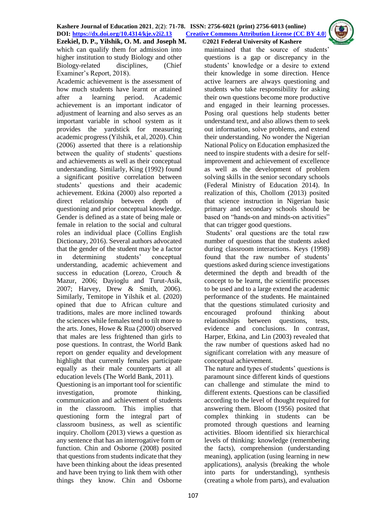**Ezekiel, D. P., Yilshik, O. M. and Joseph M. ©2021 Federal University of Kashere** which can qualify them for admission into higher institution to study Biology and other Biology-related disciplines, (Chief Examiner's Report, 2018).

Academic achievement is the assessment of how much students have learnt or attained after a learning period. Academic achievement is an important indicator of adjustment of learning and also serves as an important variable in school system as it provides the yardstick for measuring academic progress (Yilshik, et al, 2020). Chin (2006) asserted that there is a relationship between the quality of students' questions and achievements as well as their conceptual understanding. Similarly, King (1992) found a significant positive correlation between students' questions and their academic achievement. Etkina (2000) also reported a direct relationship between depth of questioning and prior conceptual knowledge. Gender is defined as a state of being male or female in relation to the social and cultural roles an individual place (Collins English Dictionary, 2016). Several authors advocated that the gender of the student may be a factor in determining students' conceptual understanding, academic achievement and success in education (Lorezo, Crouch & Mazur, 2006; Dayioglu and Turut-Asik, 2007; Harvey, Drew & Smith, 2006). Similarly, Temitope in Yilshik et al. (2020) opined that due to African culture and traditions, males are more inclined towards the sciences while females tend to tilt more to the arts. Jones, Howe & Rua (2000) observed that males are less frightened than girls to pose questions. In contrast, the World Bank report on gender equality and development highlight that currently females participate equally as their male counterparts at all education levels (The World Bank, 2011).

Questioning is an important tool for scientific investigation, promote thinking, communication and achievement of students in the classroom. This implies that questioning form the integral part of classroom business, as well as scientific inquiry. Chollom (2013) views a question as any sentence that has an interrogative form or function. Chin and Osborne (2008) posited that questions from students indicate that they have been thinking about the ideas presented and have been trying to link them with other things they know. Chin and Osborne

maintained that the source of students' questions is a gap or discrepancy in the students' knowledge or a desire to extend their knowledge in some direction. Hence active learners are always questioning and students who take responsibility for asking their own questions become more productive and engaged in their learning processes. Posing oral questions help students better understand text, and also allows them to seek out information, solve problems, and extend their understanding. No wonder the Nigerian National Policy on Education emphasized the need to inspire students with a desire for selfimprovement and achievement of excellence as well as the development of problem solving skills in the senior secondary schools (Federal Ministry of Education 2014). In realization of this, Chollom (2013) posited that science instruction in Nigerian basic primary and secondary schools should be based on "hands-on and minds-on activities" that can trigger good questions.

Students' oral questions are the total raw number of questions that the students asked during classroom interactions. Keys (1998) found that the raw number of students' questions asked during science investigations determined the depth and breadth of the concept to be learnt, the scientific processes to be used and to a large extend the academic performance of the students. He maintained that the questions stimulated curiosity and encouraged profound thinking about relationships between questions, tests, evidence and conclusions. In contrast, Harper, Etkina, and Lin (2003) revealed that the raw number of questions asked had no significant correlation with any measure of conceptual achievement.

The nature and types of students' questions is paramount since different kinds of questions can challenge and stimulate the mind to different extents. Questions can be classified according to the level of thought required for answering them. Bloom (1956) posited that complex thinking in students can be promoted through questions and learning activities. Bloom identified six hierarchical levels of thinking: knowledge (remembering the facts), comprehension (understanding meaning), application (using learning in new applications), analysis (breaking the whole into parts for understanding), synthesis (creating a whole from parts), and evaluation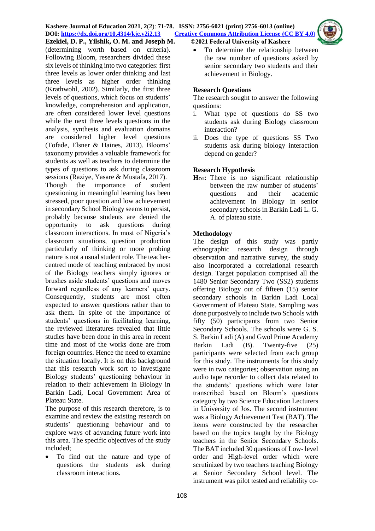

(determining worth based on criteria). Following Bloom, researchers divided these six levels of thinking into two categories: first three levels as lower order thinking and last three levels as higher order thinking (Krathwohl, 2002). Similarly, the first three levels of questions, which focus on students' knowledge, comprehension and application, are often considered lower level questions while the next three levels questions in the analysis, synthesis and evaluation domains are considered higher level questions (Tofade, Elsner & Haines, 2013). Blooms' taxonomy provides a valuable framework for students as well as teachers to determine the types of questions to ask during classroom sessions (Raziye, Yasare & Mustafa, 2017).<br>Though the importance of studen Though the importance of student questioning in meaningful learning has been stressed, poor question and low achievement in secondary School Biology seems to persist, probably because students are denied the opportunity to ask questions during classroom interactions. In most of Nigeria's classroom situations, question production particularly of thinking or more probing nature is not a usual student role. The teachercentred mode of teaching embraced by most of the Biology teachers simply ignores or brushes aside students' questions and moves forward regardless of any learners' query. Consequently, students are most often expected to answer questions rather than to ask them. In spite of the importance of students' questions in facilitating learning, the reviewed literatures revealed that little studies have been done in this area in recent time and most of the works done are from foreign countries. Hence the need to examine the situation locally. It is on this background that this research work sort to investigate Biology students' questioning behaviour in relation to their achievement in Biology in Barkin Ladi, Local Government Area of Plateau State.

The purpose of this research therefore, is to examine and review the existing research on students' questioning behaviour and to explore ways of advancing future work into this area. The specific objectives of the study included;

 To find out the nature and type of questions the students ask during classroom interactions.

 To determine the relationship between the raw number of questions asked by senior secondary two students and their achievement in Biology.

## **Research Questions**

The research sought to answer the following questions:

- i. What type of questions do SS two students ask during Biology classroom interaction?
- ii. Does the type of questions SS Two students ask during biology interaction depend on gender?

# **Research Hypothesis**

**HO1:** There is no significant relationship between the raw number of students' questions and their academic achievement in Biology in senior secondary schools in Barkin Ladi L. G. A. of plateau state.

# **Methodology**

The design of this study was partly ethnographic research design through observation and narrative survey, the study also incorporated a correlational research design. Target population comprised all the 1480 Senior Secondary Two (SS2) students offering Biology out of fifteen (15) senior secondary schools in Barkin Ladi Local Government of Plateau State. Sampling was done purposively to include two Schools with fifty (50) participants from two Senior Secondary Schools. The schools were G. S. S. Barkin Ladi (A) and Gwol Prime Academy Barkin Ladi (B). Twenty-five (25) participants were selected from each group for this study. The instruments for this study were in two categories; observation using an audio tape recorder to collect data related to the students' questions which were later transcribed based on Bloom's questions category by two Science Education Lecturers in University of Jos. The second instrument was a Biology Achievement Test (BAT). The items were constructed by the researcher based on the topics taught by the Biology teachers in the Senior Secondary Schools. The BAT included 30 questions of Low- level order and High-level order which were scrutinized by two teachers teaching Biology at Senior Secondary School level. The instrument was pilot tested and reliability co-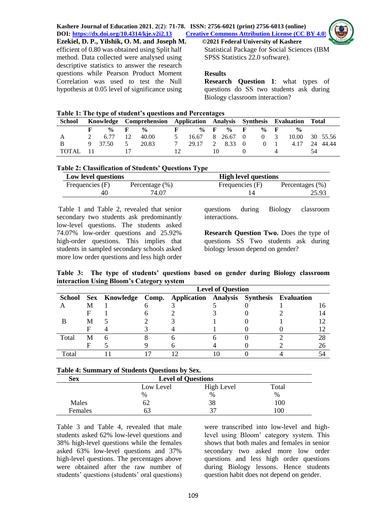

**Ezekiel, D. P., Yilshik, O. M. and Joseph M. ©2021 Federal University of Kashere** efficient of 0.80 was obtained using Split half method. Data collected were analysed using descriptive statistics to answer the research questions while Pearson Product Moment Correlation was used to test the Null hypothesis at 0.05 level of significance using

Statistical Package for Social Sciences (IBM SPSS Statistics 22.0 software).

## **Results**

**Research Question 1**: what types of questions do SS two students ask during Biology classroom interaction?

**Table 1: The type of student's questions and Percentages**

| School   |  |                 |       | Knowledge Comprehension Application Analysis Synthesis Evaluation Total |                 |  |        |                |          |                |                |    |  |
|----------|--|-----------------|-------|-------------------------------------------------------------------------|-----------------|--|--------|----------------|----------|----------------|----------------|----|--|
|          |  | $\%$ F $\%$     |       | $\mathbf{F}$                                                            | $\%$ F $\%$ F   |  |        |                | $\%$ F   |                | $\frac{6}{6}$  |    |  |
| Α        |  | 2 6.77 12 40.00 |       | 5                                                                       | 16.67 8 26.67 0 |  |        |                | $\Omega$ | $\overline{3}$ | 10.00 30 55.56 |    |  |
|          |  | 9 37.50 5       | 20.83 |                                                                         | 29.17           |  | 2 8.33 | $\overline{0}$ |          | $0 \quad 1$    | 4.17 24 44.44  |    |  |
| TOTAL 11 |  |                 |       |                                                                         |                 |  |        |                |          |                |                | 54 |  |

## **Table 2: Classification of Students' Questions Type**

| Low level questions |                    | <b>High level questions</b> |                 |  |  |  |
|---------------------|--------------------|-----------------------------|-----------------|--|--|--|
| Frequencies (F)     | Percentage $(\% )$ | Frequencies (F)             | Percentages (%) |  |  |  |
| 40                  | 74.07              |                             | 25.93           |  |  |  |

Table 1 and Table 2, revealed that senior secondary two students ask predominantly low-level questions. The students asked 74.07% low-order questions and 25.92% high-order questions. This implies that students in sampled secondary schools asked more low order questions and less high order questions during Biology classroom interactions.

**Research Question Two.** Does the type of questions SS Two students ask during biology lesson depend on gender?

**Table 3: The type of students' questions based on gender during Biology classroom interaction Using Bloom's Category system**

|       | <b>Level of Question</b> |  |  |                                                                      |  |  |  |    |  |  |  |
|-------|--------------------------|--|--|----------------------------------------------------------------------|--|--|--|----|--|--|--|
|       |                          |  |  | School Sex Knowledge Comp. Application Analysis Synthesis Evaluation |  |  |  |    |  |  |  |
|       |                          |  |  |                                                                      |  |  |  |    |  |  |  |
|       |                          |  |  |                                                                      |  |  |  |    |  |  |  |
|       | M                        |  |  |                                                                      |  |  |  |    |  |  |  |
|       |                          |  |  |                                                                      |  |  |  |    |  |  |  |
| Total | M                        |  |  |                                                                      |  |  |  |    |  |  |  |
|       |                          |  |  |                                                                      |  |  |  | 26 |  |  |  |
| Total |                          |  |  |                                                                      |  |  |  |    |  |  |  |

#### **Table 4: Summary of Students Questions by Sex.**

| <b>Sex</b> | <b>Level of Questions</b> |            |       |  |  |  |  |
|------------|---------------------------|------------|-------|--|--|--|--|
|            | Low Level                 | High Level | Total |  |  |  |  |
|            | %                         | $\%$       | %     |  |  |  |  |
| Males      | 62                        | 38         | 100   |  |  |  |  |
| Females    | O 3                       |            | 100   |  |  |  |  |

Table 3 and Table 4, revealed that male students asked 62% low-level questions and 38% high-level questions while the females asked 63% low-level questions and 37% high-level questions. The percentages above were obtained after the raw number of students' questions (students' oral questions)

were transcribed into low-level and highlevel using Bloom' category system. This shows that both males and females in senior secondary two asked more low order questions and less high order questions during Biology lessons. Hence students question habit does not depend on gender.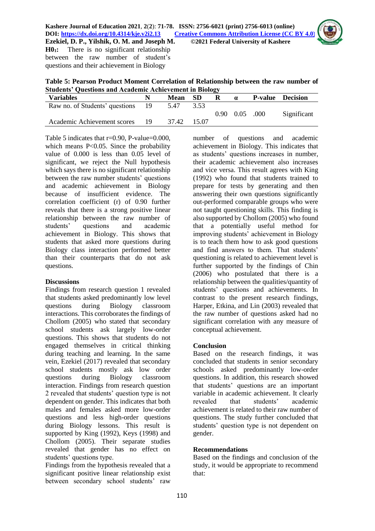

**H01:** There is no significant relationship between the raw number of student's questions and their achievement in Biology

**Table 5: Pearson Product Moment Correlation of Relationship between the raw number of Students' Questions and Academic Achievement in Biology**

| <b>Variables</b>               |      | Mean SD |         | R | $\alpha$                     | <b>P-value</b> Decision |
|--------------------------------|------|---------|---------|---|------------------------------|-------------------------|
| Raw no. of Students' questions | - 19 | 5.47    | 3.53    |   |                              |                         |
|                                |      |         |         |   | $0.90 \quad 0.05 \quad .000$ | Significant             |
| Academic Achievement scores    |      | 37.42   | - 15.07 |   |                              |                         |

Table 5 indicates that  $r=0.90$ , P-value=0.000, which means P<0.05. Since the probability value of 0.000 is less than 0.05 level of significant, we reject the Null hypothesis which says there is no significant relationship between the raw number students' questions and academic achievement in Biology because of insufficient evidence. The correlation coefficient (r) of 0.90 further reveals that there is a strong positive linear relationship between the raw number of students' questions and academic achievement in Biology. This shows that students that asked more questions during Biology class interaction performed better than their counterparts that do not ask questions.

## **Discussions**

Findings from research question 1 revealed that students asked predominantly low level questions during Biology classroom interactions. This corroborates the findings of Chollom (2005) who stated that secondary school students ask largely low-order questions. This shows that students do not engaged themselves in critical thinking during teaching and learning. In the same vein, Ezekiel (2017) revealed that secondary school students mostly ask low order questions during Biology classroom interaction. Findings from research question 2 revealed that students' question type is not dependent on gender. This indicates that both males and females asked more low-order questions and less high-order questions during Biology lessons. This result is supported by King (1992), Keys (1998) and Chollom (2005). Their separate studies revealed that gender has no effect on students' questions type.

Findings from the hypothesis revealed that a significant positive linear relationship exist between secondary school students' raw

number of questions and academic achievement in Biology. This indicates that as students' questions increases in number, their academic achievement also increases and vice versa. This result agrees with King (1992) who found that students trained to prepare for tests by generating and then answering their own questions significantly out-performed comparable groups who were not taught questioning skills. This finding is also supported by Chollom (2005) who found that a potentially useful method for improving students' achievement in Biology is to teach them how to ask good questions and find answers to them. That students' questioning is related to achievement level is further supported by the findings of Chin (2006) who postulated that there is a relationship between the qualities/quantity of students' questions and achievements. In contrast to the present research findings, Harper, Etkina, and Lin (2003) revealed that the raw number of questions asked had no significant correlation with any measure of conceptual achievement.

## **Conclusion**

Based on the research findings, it was concluded that students in senior secondary schools asked predominantly low-order questions. In addition, this research showed that students' questions are an important variable in academic achievement. It clearly revealed that students' academic achievement is related to their raw number of questions. The study further concluded that students' question type is not dependent on gender.

## **Recommendations**

Based on the findings and conclusion of the study, it would be appropriate to recommend that: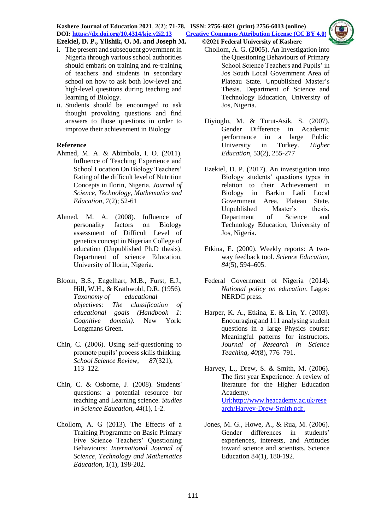**Kashere Journal of Education 2021**, **2**(**2**): **71-78. ISSN: 2756-6021 (print) 2756-6013 (online) DOI: <https://dx.doi.org/10.4314/kje.v2i2.13> [Creative Commons Attribution License](http://creativecommons.org/licenses/by/4.0/) (CC BY 4.0) Ezekiel, D. P., Yilshik, O. M. and Joseph M. ©2021 Federal University of Kashere**



i. The present and subsequent government in Nigeria through various school authorities should embark on training and re-training of teachers and students in secondary school on how to ask both low-level and high-level questions during teaching and learning of Biology.

ii. Students should be encouraged to ask thought provoking questions and find answers to those questions in order to improve their achievement in Biology

## **Reference**

- Ahmed, M. A. & Abimbola, I. O. (2011). Influence of Teaching Experience and School Location On Biology Teachers' Rating of the difficult level of Nutrition Concepts in Ilorin, Nigeria. *Journal of Science, Technology, Mathematics and Education, 7*(2); 52-61
- Ahmed, M. A. (2008). Influence of personality factors on Biology assessment of Difficult Level of genetics concept in Nigerian College of education (Unpublished Ph.D thesis). Department of science Education, University of Ilorin, Nigeria.
- Bloom, B.S., Engelhart, M.B., Furst, E.J., Hill, W.H., & Krathwohl, D.R. (1956). *Taxonomy of educational objectives: The classification of educational goals (Handbook 1: Cognitive domain).* New York: Longmans Green.
- Chin, C. (2006). Using self-questioning to promote pupils' process skills thinking. *School Science Review, 87*(321), 113–122.
- Chin, C. & Osborne, J. (2008). Students' questions: a potential resource for teaching and Learning science. *Studies in Science Education, 44*(1), 1-2.
- Chollom, A. G (2013). The Effects of a Training Programme on Basic Primary Five Science Teachers' Questioning Behaviours: *International Journal of Science, Technology and Mathematics Education,* 1(1), 198-202.
- Chollom, A. G. (2005). An Investigation into the Questioning Behaviours of Primary School Science Teachers and Pupils' in Jos South Local Government Area of Plateau State. Unpublished Master's Thesis. Department of Science and Technology Education, University of Jos, Nigeria.
- Diyioglu, M. & Turut-Asik, S. (2007). Gender Difference in Academic<br>performance in a large Public performance in a large University in Turkey. *Higher Education,* 53(2), 255-277
- Ezekiel, D. P. (2017). An investigation into Biology students' questions types in relation to their Achievement in Biology in Barkin Ladi Local Government Area, Plateau State. Unpublished Master's thesis. Department of Science and Technology Education, University of Jos, Nigeria.
- Etkina, E. (2000). Weekly reports: A twoway feedback tool. *Science Education, 84*(5), 594–605.
- Federal Government of Nigeria (2014). *National policy on education*. Lagos: NERDC press.
- Harper, K. A., Etkina, E. & Lin, Y. (2003). Encouraging and 111 analysing student questions in a large Physics course: Meaningful patterns for instructors. *Journal of Research in Science Teaching, 40*(8), 776–791.
- Harvey, L., Drew, S. & Smith, M. (2006). The first year Experience: A review of literature for the Higher Education Academy. [Url:http://www.heacademy.ac.uk/rese](http://www.heacademy.ac.uk/research/Harvey-Drew-Smith.pdf.(accessed) [arch/Harvey-Drew-Smith.pdf.](http://www.heacademy.ac.uk/research/Harvey-Drew-Smith.pdf.(accessed)
- Jones, M. G., Howe, A., & Rua, M. (2006). Gender differences in students' experiences, interests, and Attitudes toward science and scientists. Science Education 84(1), 180-192.